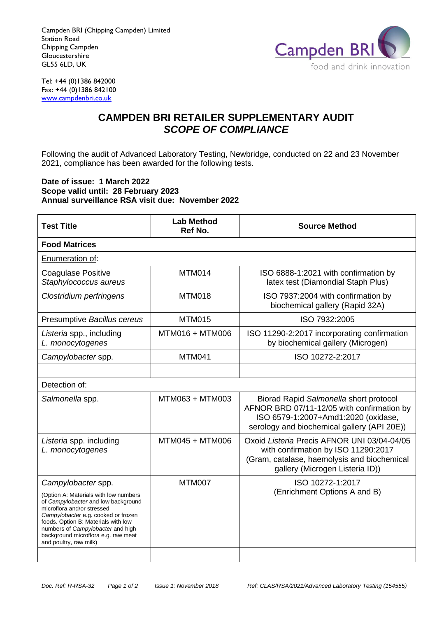Campden BRI (Chipping Campden) Limited Station Road Chipping Campden **Gloucestershire** GL55 6LD, UK



Tel: +44 (0)1386 842000 Fax: +44 (0)1386 842100 [www.campdenbri.co.uk](http://www.campdenbri.co.uk/)

## **CAMPDEN BRI RETAILER SUPPLEMENTARY AUDIT** *SCOPE OF COMPLIANCE*

Following the audit of Advanced Laboratory Testing, Newbridge, conducted on 22 and 23 November 2021, compliance has been awarded for the following tests.

## **Date of issue: 1 March 2022 Scope valid until: 28 February 2023 Annual surveillance RSA visit due: November 2022**

| <b>Test Title</b>                                                                                                                                                                                                                                                                              | <b>Lab Method</b><br>Ref No. | <b>Source Method</b>                                                                                                                                                       |  |
|------------------------------------------------------------------------------------------------------------------------------------------------------------------------------------------------------------------------------------------------------------------------------------------------|------------------------------|----------------------------------------------------------------------------------------------------------------------------------------------------------------------------|--|
| <b>Food Matrices</b>                                                                                                                                                                                                                                                                           |                              |                                                                                                                                                                            |  |
| Enumeration of:                                                                                                                                                                                                                                                                                |                              |                                                                                                                                                                            |  |
| <b>Coagulase Positive</b><br>Staphylococcus aureus                                                                                                                                                                                                                                             | MTM014                       | ISO 6888-1:2021 with confirmation by<br>latex test (Diamondial Staph Plus)                                                                                                 |  |
| Clostridium perfringens                                                                                                                                                                                                                                                                        | <b>MTM018</b>                | ISO 7937:2004 with confirmation by<br>biochemical gallery (Rapid 32A)                                                                                                      |  |
| Presumptive Bacillus cereus                                                                                                                                                                                                                                                                    | <b>MTM015</b>                | ISO 7932:2005                                                                                                                                                              |  |
| Listeria spp., including<br>L. monocytogenes                                                                                                                                                                                                                                                   | MTM016 + MTM006              | ISO 11290-2:2017 incorporating confirmation<br>by biochemical gallery (Microgen)                                                                                           |  |
| Campylobacter spp.                                                                                                                                                                                                                                                                             | <b>MTM041</b>                | ISO 10272-2:2017                                                                                                                                                           |  |
|                                                                                                                                                                                                                                                                                                |                              |                                                                                                                                                                            |  |
| Detection of:                                                                                                                                                                                                                                                                                  |                              |                                                                                                                                                                            |  |
| Salmonella spp.                                                                                                                                                                                                                                                                                | MTM063 + MTM003              | Biorad Rapid Salmonella short protocol<br>AFNOR BRD 07/11-12/05 with confirmation by<br>ISO 6579-1:2007+Amd1:2020 (oxidase,<br>serology and biochemical gallery (API 20E)) |  |
| Listeria spp. including<br>L. monocytogenes                                                                                                                                                                                                                                                    | MTM045 + MTM006              | Oxoid Listeria Precis AFNOR UNI 03/04-04/05<br>with confirmation by ISO 11290:2017<br>(Gram, catalase, haemolysis and biochemical<br>gallery (Microgen Listeria ID))       |  |
| Campylobacter spp.                                                                                                                                                                                                                                                                             | <b>MTM007</b>                | ISO 10272-1:2017                                                                                                                                                           |  |
| (Option A: Materials with low numbers<br>of Campylobacter and low background<br>microflora and/or stressed<br>Campylobacter e.g. cooked or frozen<br>foods. Option B: Materials with low<br>numbers of Campylobacter and high<br>background microflora e.g. raw meat<br>and poultry, raw milk) |                              | (Enrichment Options A and B)                                                                                                                                               |  |
|                                                                                                                                                                                                                                                                                                |                              |                                                                                                                                                                            |  |